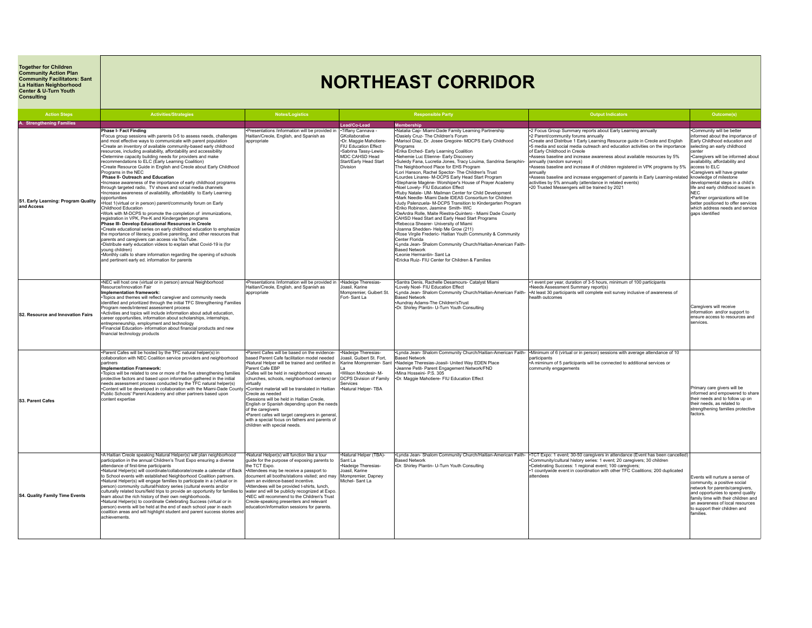**Together for Children Community Action Plan Community Facilitators: Sant La Haitian Neighborhood Center & U-Turn Youth Consulting**

## **NORTHEAST CORRIDOR**

| <b>Action Steps</b>                               | <b>Activities/Strategies</b>                                                                                                                                                                                                                                                                                                                                                                                                                                                                                                                                                                                                                                                                                                                                                                                                                                                                                                                                                                                                                                                                                                                                                                                                                                                                                                                                                                                                                                                         | <b>Notes/Logistics</b>                                                                                                                                                                                                                                                                                                                                                                                                                                                                                                                                   |                                                                                                                                                                         | <b>Responsible Party</b>                                                                                                                                                                                                                                                                                                                                                                                                                                                                                                                                                                                                                                                                                                                                                                                                                                                                                                                                                                                                                                                                                                                                                                                                                                    | <b>Output Indicators</b>                                                                                                                                                                                                                                                                                                                                                                                                                                                                                                                                                                                                                                                                            | Outcome(s)                                                                                                                                                                                                                                                                                                                                                                                                                                                                                                  |
|---------------------------------------------------|--------------------------------------------------------------------------------------------------------------------------------------------------------------------------------------------------------------------------------------------------------------------------------------------------------------------------------------------------------------------------------------------------------------------------------------------------------------------------------------------------------------------------------------------------------------------------------------------------------------------------------------------------------------------------------------------------------------------------------------------------------------------------------------------------------------------------------------------------------------------------------------------------------------------------------------------------------------------------------------------------------------------------------------------------------------------------------------------------------------------------------------------------------------------------------------------------------------------------------------------------------------------------------------------------------------------------------------------------------------------------------------------------------------------------------------------------------------------------------------|----------------------------------------------------------------------------------------------------------------------------------------------------------------------------------------------------------------------------------------------------------------------------------------------------------------------------------------------------------------------------------------------------------------------------------------------------------------------------------------------------------------------------------------------------------|-------------------------------------------------------------------------------------------------------------------------------------------------------------------------|-------------------------------------------------------------------------------------------------------------------------------------------------------------------------------------------------------------------------------------------------------------------------------------------------------------------------------------------------------------------------------------------------------------------------------------------------------------------------------------------------------------------------------------------------------------------------------------------------------------------------------------------------------------------------------------------------------------------------------------------------------------------------------------------------------------------------------------------------------------------------------------------------------------------------------------------------------------------------------------------------------------------------------------------------------------------------------------------------------------------------------------------------------------------------------------------------------------------------------------------------------------|-----------------------------------------------------------------------------------------------------------------------------------------------------------------------------------------------------------------------------------------------------------------------------------------------------------------------------------------------------------------------------------------------------------------------------------------------------------------------------------------------------------------------------------------------------------------------------------------------------------------------------------------------------------------------------------------------------|-------------------------------------------------------------------------------------------------------------------------------------------------------------------------------------------------------------------------------------------------------------------------------------------------------------------------------------------------------------------------------------------------------------------------------------------------------------------------------------------------------------|
| A. Strengthening Families                         |                                                                                                                                                                                                                                                                                                                                                                                                                                                                                                                                                                                                                                                                                                                                                                                                                                                                                                                                                                                                                                                                                                                                                                                                                                                                                                                                                                                                                                                                                      |                                                                                                                                                                                                                                                                                                                                                                                                                                                                                                                                                          | Lead/Co-Lead                                                                                                                                                            | <b>Membershir</b>                                                                                                                                                                                                                                                                                                                                                                                                                                                                                                                                                                                                                                                                                                                                                                                                                                                                                                                                                                                                                                                                                                                                                                                                                                           |                                                                                                                                                                                                                                                                                                                                                                                                                                                                                                                                                                                                                                                                                                     |                                                                                                                                                                                                                                                                                                                                                                                                                                                                                                             |
| S1. Early Learning: Program Quality<br>and Access | Phase I- Fact Finding<br>*Focus group sessions with parents 0-5 to assess needs, challenges<br>and most effective wavs to communicate with parent population<br>.Create an inventory of available community-based early childhood<br>resources, including availability, affordability and accessibility<br>-Determine capacity building needs for providers and make<br>recommendations to ELC (Early Learning Coalition)<br>•Create Resource Guide in English and Creole about Early Childhood<br>Programs in the NEC<br>Phase II- Outreach and Education<br>Increase awareness of the importance of early childhood programs<br>through targeted radio. TV shows and social media channels<br>Increase awareness of availability, affordability to Early Learning<br>opportunities<br>Host 1(virtual or in person) parent/community forum on Early<br>Childhood Education<br>.Work with M-DCPS to promote the completion of immunizations,<br>registration in VPK, Pre-K and Kindergarten programs<br>Phase III- Develop Educational Resources in Creole<br>•Create educational series on early childhood education to emphasize<br>the mportance of literacy, positive parenting, and other resources that<br>parents and caregivers can access via YouTube.<br>-Distribute early education videos to explain what Covid-19 is (for<br>young children)<br>•Monthly calls to share information regarding the opening of schools<br>and pertinent early ed. information for parents | Presentations /information will be provided in<br>Haitian/Creole, English, and Spanish as<br>appropriate                                                                                                                                                                                                                                                                                                                                                                                                                                                 | •Tiffany Cannava -<br>GKollaborative<br>·Dr. Maggie Mahotiere-<br>FIU Education Effect<br>·Sabrina Tassv-Lewis-<br>MDC CAHSD Head<br>Start/Early Head Start<br>Division | •Natalia Cap- Miami-Dade Family Learning Partnership<br>-Dasiely Cruz- The Children's Forum<br>-Marisol Diaz, Dr. Josee Gregoire- MDCPS Early Childhood<br>Programs<br>.Erika Erched- Early Learning Coalition<br>•Nehemie Luc Etienne- Early Discovery<br>·Suleidy Fana, Lucretia Jones, Tracy Louima, Sandrina Seraphin-<br>The Neighborhood Place for EHS Program<br>.Lori Hanson, Rachel Spector- The Children's Trust<br>-Lourdes Linares- M-DCPS Early Head Start Program<br>*Stephanie Magène- Worshiper's House of Prayer Academy<br>Noel Lovelv- FIU Education Effect<br>.Ruby Natale- UM- Mailman Center for Child Development<br>-Mark Needle- Miami Dade IDEAS Consortium for Children<br>.Judy Palenzuela- M-DCPS Transition to Kindergarten Program<br>-Eriko Robinson, Jasmine Smith-WIC<br>+DeArdra Rolle, Maite Riestra-Quintero - Miami Dade County<br>CAHSD Head Start and Early Head Start Programs<br>-Rebecca Shearer- University of Miami<br>*Joanna Shedden- Help Me Grow (211)<br>-Rose Virgile Frederic- Haitian Youth Community & Community<br>Center Florida<br>+Lynda Jean- Shalom Community Church/Haitian-American Faith-<br>Based Network<br>*Leonie Hermantin- Sant La<br>+Ericka Ruiz- FIU Center for Children & Families | *2 Focus Group Summary reports about Early Learning annually<br>•2 Parent/community forums annually<br>•Create and Distribue 1 Early Learning Resource guide in Creole and English<br>*5 media and social media outreach and education activities on the importance<br>of Early Childhood in Creole<br>Assess baseline and increase awareness about available resources by 5%<br>annually (random surveys)<br>Assess baseline and increase # of children registered in VPK programs by 5%<br>annually<br>Assess baseline and increase engagement of parents in Early Learning-related<br>activities by 5% annually (attendance in related events)<br>•20 Trusted Messengers will be trained by 2021 | Community will be better<br>iformed about the importance of<br>Early Childhood education and<br>selecting an early childhood<br>center<br>*Caregivers will be informed about<br>availability, affordability and<br>access to ELC<br>Caregivers will have greater<br>knowledge of milestone<br>developmental steps in a child's<br>life and early childhood issues in<br>NFC.<br>·Partner organizations will be<br>better positioned to offer services<br>which address needs and service<br>gaps identified |
| S2. Resource and Innovation Fairs                 | •NEC will host one (virtual or in person) annual Neighborhood<br>Resource/Innovation Fair<br>Implementation framework:<br>•Topics and themes will reflect caregiver and community needs<br>identified and prioritized through the initial TFC Strengthening Families<br>Program needs/interest assessment process<br>*Activities and topics will include information about adult education,<br>career opportunities, information about scholarships, internships,<br>entrepreneurship, employment and technology<br>. Financial Education- information about financial products and new<br>financial technology products                                                                                                                                                                                                                                                                                                                                                                                                                                                                                                                                                                                                                                                                                                                                                                                                                                                             | ·Presentations /information will be provided in<br>Haitian/Creole, English, and Spanish as<br>appropriate                                                                                                                                                                                                                                                                                                                                                                                                                                                | •Nadeige Theresias-<br>Joasil. Karine<br>Mompremier, Guibert St<br>Fort-Sant La                                                                                         | ·Santra Denis, Rachelle Desamours- Catalyst Miami<br>*Lovely Noel- FIU Education Effect<br>-Lynda Jean- Shalom Community Church/Haitian-American Faith-<br>Based Network<br>Aundrav Adams-The Children'sTrust<br>.Dr. Shirley Plantin- U-Turn Youth Consulting                                                                                                                                                                                                                                                                                                                                                                                                                                                                                                                                                                                                                                                                                                                                                                                                                                                                                                                                                                                              | •1 event per year, duration of 3-5 hours, minimum of 100 participants<br>Needs Assessment Summary report(s)<br>+At least 30 participants will complete exit survey inclusive of awareness of<br>realth outcomes                                                                                                                                                                                                                                                                                                                                                                                                                                                                                     | Caregivers will receive<br>information and/or support to<br>ensure access to resources and<br>services.                                                                                                                                                                                                                                                                                                                                                                                                     |
| S3. Parent Cafes                                  | . Parent Cafes will be hosted by the TFC natural helper(s) in<br>collaboration with NEC Coalition service providers and neighborhood<br>partners<br>Implementation Framework:<br>•Topics will be related to one or more of the five strengthening families<br>protective factors and based upon information gathered in the initial<br>needs assessment process conducted by the TFC natural helper(s)<br>•Content will be developed in collaboration with the Miami-Dade County •Content material will be translated in Haitian<br>Public Schools' Parent Academy and other partners based upon<br>content expertise                                                                                                                                                                                                                                                                                                                                                                                                                                                                                                                                                                                                                                                                                                                                                                                                                                                                | . Parent Cafes will be based on the evidence-<br>based Parent Cafe facilitation model needed<br>.Natural Helper will be trained and certified in<br>Parent Cafe EBP<br>•Cafes will be held in neighborhood venues<br>(churches, schools, neighborhood centers) or<br>virtually<br>Creole as needed<br>•Sessions will be held in Haitian Creole,<br>English or Spanish depending upon the needs<br>of the caregivers<br>-Parent cafes will target caregivers in general<br>with a special focus on fathers and parents of<br>children with special needs. | •Nadeige Theresias-<br>Joasil. Guibert St. Fort.<br>-Wilson Mondesir- M-<br><b>DCPS Division of Family</b><br>Services<br>•Natural Helper-TBA                           | <b>Based Network</b><br>Karine Mompremier- Sant   Nadeige Theresias-Joasil- United Way EDEN Place<br>-Jeanne Petit- Parent Engagement Network/FND<br>Mina Hosseini- P.S. 305<br>-Dr. Maggie Mahotiere- FIU Education Effect                                                                                                                                                                                                                                                                                                                                                                                                                                                                                                                                                                                                                                                                                                                                                                                                                                                                                                                                                                                                                                 | •Lynda Jean- Shalom Community Church/Haitian-American Faith-  •Minimum of 6 (virtual or in person) sessions with average attendance of 10<br>narticinants<br>-A miminum of 5 participants will be connected to additional services or<br>community engagements                                                                                                                                                                                                                                                                                                                                                                                                                                      | Primary care givers will be<br>informed and empowered to share<br>their needs and to follow up on<br>their needs, as related to<br>strengthening families protective<br>factors.                                                                                                                                                                                                                                                                                                                            |
| S4. Quality Family Time Events                    | •A Haitian Creole speaking Natural Helper(s) will plan neighborhood<br>participation in the annual Children's Trust Expo ensuring a diverse<br>attendance of first-time participants<br>.Natural Helper(s) will coordinate/collaborate/create a calendar of Back<br>to School events with established Neighborhood Coalition partners.<br>.Natural Helper(s) will engage families to participate in a (virtual or in<br>person) community cultural/history series (cultural events and/or<br>culturally related tours/field trips to provide an opportunity for families to<br>learn about the rich history of their own neighborhoods.<br>•Natural Helper(s) to coordinate Celebrating Success (virtual or in<br>person) events will be held at the end of each school year in each<br>coalition areas and will highlight student and parent success stories and<br>achievements.                                                                                                                                                                                                                                                                                                                                                                                                                                                                                                                                                                                                   | .Natural Helper(s) will function like a tour<br>guide for the purpose of exposing parents to<br>e TCT Expo.<br>-Attendees may be receive a passport to<br>document all booths/stations visited; and may<br>earn an evidence-based incentive.<br>•Attendees will be provided t-shirts, lunch.<br>water and will be publicly recognized at Expo.<br>•NEC will recommend to the Children's Trust<br>Creole-speaking presenters and relevant<br>education/information sessions for parents.                                                                  | Natural Helper (TBA)-<br>Sant La<br>Nadeige Theresias-<br>Joasil. Karine<br>Mompremier, Dapney<br>Michel-Sant La                                                        | <b>Based Network</b><br>.Dr. Shirley Plantin- U-Turn Youth Consulting                                                                                                                                                                                                                                                                                                                                                                                                                                                                                                                                                                                                                                                                                                                                                                                                                                                                                                                                                                                                                                                                                                                                                                                       | •Lynda Jean- Shalom Community Church/Haitian-American Faith- •TCT Expo: 1 event; 30-50 caregivers in attendance (Event has been cancelled)<br>.Community/cultural history series: 1 event: 20 caregivers: 30 children<br>•Celebrating Success: 1 regional event; 100 caregivers;<br>1 countywide event in coordination with other TFC Coalitions; 200 duplicated<br>attendees                                                                                                                                                                                                                                                                                                                       | Events will nurture a sense of<br>community, a positive social<br>network for parents/caregivers,<br>and opportunies to spend quality<br>family time with their children and<br>an awareness of local resources<br>to support their children and<br>families.                                                                                                                                                                                                                                               |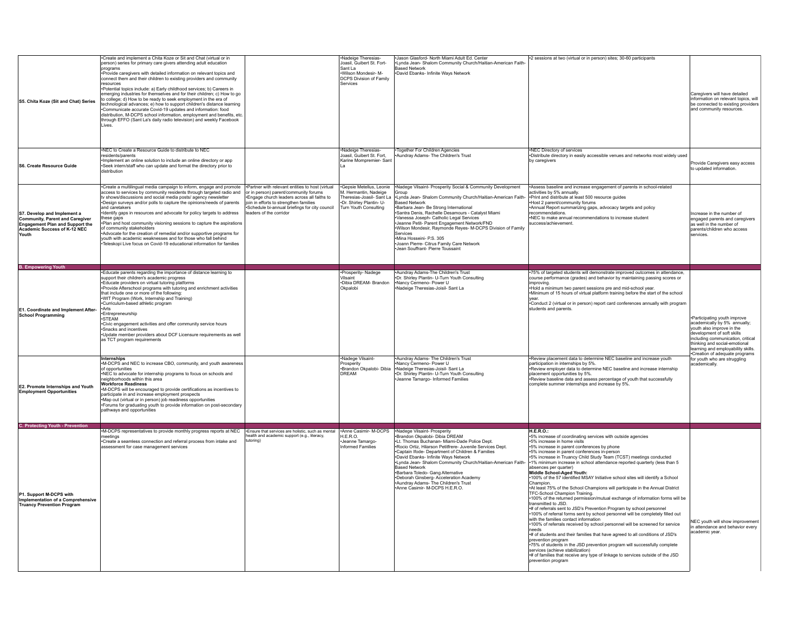| S5. Chita Koze (Sit and Chat) Series                                                                                                                     | Create and implement a Chita Koze or Sit and Chat (virtual or in<br>person) series for primary care givers attending adult education<br>programs<br>Provide caregivers with detailed information on relevant topics and<br>connect them and their children to existing providers and community<br>resources<br>+Potential topics include: a) Early childhood services; b) Careers in<br>emerging industries for themselves and for their children; c) How to go<br>to college; d) How to be ready to seek employment in the era of<br>technological advances; e) how to support children's distance learning<br>Communicate accurate Covid-19 updates and information: food<br>distribution, M-DCPS school information, employment and benefits, etc.<br>through EFFO (Sant La's daily radio television) and weekly Facebook<br>Lives. |                                                                                                                                                                                                                                                                | Nadeige Theresias-<br>Joasil, Guibert St. Fort-<br>Sant La<br>Wilson Mondesir- M-<br><b>DCPS Division of Family</b><br>Services   | Jason Glasford- North Miami Adult Ed. Center<br>Lynda Jean- Shalom Community Church/Haitian-American Faith<br>Based Network<br>David Ebanks- Infinite Ways Network                                                                                                                                                                                                                                                                                                                                                                 | *2 sessions at two (virtual or in person) sites; 30-60 participants                                                                                                                                                                                                                                                                                                                                                                                                                                                                                                                                                                                                                                                                                                                                                                                                                                                                                                                                                                                                                                                                                                                                                                                                                                                                                    | Caregivers will have detailed<br>information on relevant topics, will<br>be connected to existing providers<br>and community resources.                                                                                                                               |
|----------------------------------------------------------------------------------------------------------------------------------------------------------|----------------------------------------------------------------------------------------------------------------------------------------------------------------------------------------------------------------------------------------------------------------------------------------------------------------------------------------------------------------------------------------------------------------------------------------------------------------------------------------------------------------------------------------------------------------------------------------------------------------------------------------------------------------------------------------------------------------------------------------------------------------------------------------------------------------------------------------|----------------------------------------------------------------------------------------------------------------------------------------------------------------------------------------------------------------------------------------------------------------|-----------------------------------------------------------------------------------------------------------------------------------|------------------------------------------------------------------------------------------------------------------------------------------------------------------------------------------------------------------------------------------------------------------------------------------------------------------------------------------------------------------------------------------------------------------------------------------------------------------------------------------------------------------------------------|--------------------------------------------------------------------------------------------------------------------------------------------------------------------------------------------------------------------------------------------------------------------------------------------------------------------------------------------------------------------------------------------------------------------------------------------------------------------------------------------------------------------------------------------------------------------------------------------------------------------------------------------------------------------------------------------------------------------------------------------------------------------------------------------------------------------------------------------------------------------------------------------------------------------------------------------------------------------------------------------------------------------------------------------------------------------------------------------------------------------------------------------------------------------------------------------------------------------------------------------------------------------------------------------------------------------------------------------------------|-----------------------------------------------------------------------------------------------------------------------------------------------------------------------------------------------------------------------------------------------------------------------|
| <b>S6. Create Resource Guide</b>                                                                                                                         | NEC to Create a Resource Guide to distribute to NEC<br>residents/parents<br>Implement an online solution to include an online directory or app<br>Seek intern/staff who can update and format the directory prior to<br>distribution                                                                                                                                                                                                                                                                                                                                                                                                                                                                                                                                                                                                   |                                                                                                                                                                                                                                                                | Nadeige Theresias-<br>Joasil, Guibert St. Fort,<br>Karine Mompremier- San                                                         | Together For Children Agencies<br>Aundray Adams- The Children's Trust                                                                                                                                                                                                                                                                                                                                                                                                                                                              | •NEC Directory of services<br>·Distribute directory in easily accessible venues and networks most widely used<br>by caregivers                                                                                                                                                                                                                                                                                                                                                                                                                                                                                                                                                                                                                                                                                                                                                                                                                                                                                                                                                                                                                                                                                                                                                                                                                         | Provide Caregivers easy access<br>to updated information                                                                                                                                                                                                              |
| S7. Develop and Implement a<br><b>Community, Parent and Caregiver</b><br><b>Engagement Plan and Support the</b><br>Academic Success of K-12 NEC<br>Youth | -Create a multilingual media campaign to inform, engage and promote access to services by community residents through targeted radio and<br>tv shows/discussions and social media posts/ agency newsletter<br>*Design surveys and/or polls to capture the opinions/needs of parents<br>and caretakers<br>Identify gaps in resources and advocate for policy targets to address<br>these gaps<br>.<br>Plan and host community visioning sessions to capture the aspirations<br>of community stakeholders<br>Advocate for the creation of remedial and/or supportive programs for<br>youth with academic weaknesses and for those who fall behind<br>Teleskopi Live focus on Covid-19 educational information for families                                                                                                               | . Partner with relevant entities to host (virtual<br>or in person) parent/community forums<br>Engage church leaders across all faiths to<br>join in efforts to strengthen families<br>Schedule bi-annual briefings for city council<br>leaders of the corridor | Gepsie Metellus, Leonie<br>1. Hermantin, Nadeige<br>Theresias-Joasil-Sant La<br>-Dr. Shirley Plantin- U-<br>Turn Youth Consulting | •Nadege Vilsaint- Prosperity Social & Community Development<br>Group<br>.Lynda Jean- Shalom Community Church/Haitian-American Faith-<br>Based Network<br>Barbara Jean- Be Strong International<br>Santra Denis, Rachelle Desamours - Catalyst Miami<br>Vanessa Joseph- Catholic Legal Services<br>Jeanne Petit- Parent Engagement Network/FND<br>Wilson Mondesir, Raymonde Reyes- M-DCPS Division of Family<br>Services<br>Mina Hosseini- P.S. 305<br>Joann Pierre- Citrus Family Care Network<br>Jean Souffrant- Pierre Toussaint | +Assess baseline and increase engagement of parents in school-related<br>activities by 5% annually.<br>Print and distribute at least 500 resource guides<br>Host 2 parent/community forums<br>Annual Report summarizing gaps, advocacy targets and policy<br>recommendations.<br>NEC to make annual recommendations to increase student<br>success/achievement                                                                                                                                                                                                                                                                                                                                                                                                                                                                                                                                                                                                                                                                                                                                                                                                                                                                                                                                                                                         | Increase in the number of<br>engaged parents and caregivers<br>as well in the number of<br>parents/children who access<br>services.                                                                                                                                   |
| <b>B. Empowering Youth</b>                                                                                                                               |                                                                                                                                                                                                                                                                                                                                                                                                                                                                                                                                                                                                                                                                                                                                                                                                                                        |                                                                                                                                                                                                                                                                |                                                                                                                                   | Aundray Adams-The Children's Trust                                                                                                                                                                                                                                                                                                                                                                                                                                                                                                 |                                                                                                                                                                                                                                                                                                                                                                                                                                                                                                                                                                                                                                                                                                                                                                                                                                                                                                                                                                                                                                                                                                                                                                                                                                                                                                                                                        |                                                                                                                                                                                                                                                                       |
| E1. Coordinate and Implement After-<br><b>School Programming</b>                                                                                         | *Educate parents regarding the importance of distance learning to<br>support their children's academic progress<br>.Educate providers on virtual tutoring platforms<br>·Provide Afterschool programs with tutoring and enrichment activities<br>that include one or more of the following:<br>.WIT Program (Work, Internship and Training)<br>Curriculum-based athletic program<br>Arts<br>·Entrepreneurship<br>·STFAM<br>.Civic engagement activities and offer community service hours<br>Snacks and incentives<br>*Update member providers about DCF Licensure requirements as well<br>as TCT program requirements                                                                                                                                                                                                                  |                                                                                                                                                                                                                                                                | Prosperity-Nadege<br>Vilsaint<br>-Dibia DREAM- Brandon<br>Okpalobi                                                                | Dr. Shirley Plantin- U-Turn Youth Consulting<br>Nancy Cermeno- Power U<br>Nadeige Theresias-Joisil- Sant La                                                                                                                                                                                                                                                                                                                                                                                                                        | .75% of targeted students will demonstrate improved outcomes in attendance,<br>course performance (grades) and behavior by maintaining passing scores or<br>improving<br>. Hold a minimum two parent sessions pre and mid-school year<br>•Minimum of 15 hours of virtual platform training before the start of the school<br>•Conduct 2 (virtual or in person) report card conferences annually with program<br>students and parents                                                                                                                                                                                                                                                                                                                                                                                                                                                                                                                                                                                                                                                                                                                                                                                                                                                                                                                   | ·Participating youth improve<br>academically by 5% annually;<br>youth also improve in the<br>development of soft skills<br>including communication, critical<br>thinking and social-emotional<br>learning and employability skills.<br>*Creation of adequate programs |
| <b>E2. Promote Internships and Youth</b><br><b>Employment Opportunities</b>                                                                              | Internships<br>-M-DCPS and NEC to increase CBO, community, and youth awareness<br>of opportunities<br>NEC to advocate for internship programs to focus on schools and<br>neighborhoods within this area<br><b>Workforce Readiness</b><br>M-DCPS will be encouraged to provide certifications as incentives to<br>participate in and increase employment prospects<br>•Map out (virtual or in person) job readiness opportunities<br>Forums for graduating youth to provide information on post-secondary<br>thways and opportunities                                                                                                                                                                                                                                                                                                   |                                                                                                                                                                                                                                                                | ·Nadege Vilsaint<br>Prosperity<br>·Brandon Okpalobi- Dibia<br>DREAM                                                               | Aundray Adams- The Children's Trust<br>Nancy Cermeno- Power U<br>Nadeige Theresias-Joisil- Sant La<br>Dr. Shirley Plantin- U-Turn Youth Consulting<br>Jeanne Tamargo- Informed Families                                                                                                                                                                                                                                                                                                                                            | .Review placement data to determine NEC baseline and increase youth<br>participation in internships by 5%.<br>*Review employer data to determine NEC baseline and increase internship<br>placement opportunities by 5%.<br>•Review baseline data and assess percentage of youth that successfully<br>complete summer internships and increase by 5%                                                                                                                                                                                                                                                                                                                                                                                                                                                                                                                                                                                                                                                                                                                                                                                                                                                                                                                                                                                                    | for youth who are struggling<br>academically.                                                                                                                                                                                                                         |
|                                                                                                                                                          | -M-DCPS representatives to provide monthly progress reports at NEC                                                                                                                                                                                                                                                                                                                                                                                                                                                                                                                                                                                                                                                                                                                                                                     | Ensure that services are holistic, such as mental                                                                                                                                                                                                              | Anne Casimir- M-DCPS                                                                                                              | Nadege Vilsaint- Prosperity                                                                                                                                                                                                                                                                                                                                                                                                                                                                                                        | H.E.R.O.                                                                                                                                                                                                                                                                                                                                                                                                                                                                                                                                                                                                                                                                                                                                                                                                                                                                                                                                                                                                                                                                                                                                                                                                                                                                                                                                               |                                                                                                                                                                                                                                                                       |
| P1. Support M-DCPS with<br><b>Implementation of a Comprehensive</b><br><b>Truancy Prevention Program</b>                                                 | meetinas<br>Create a seamless connection and referral process from intake and<br>assessment for case management services                                                                                                                                                                                                                                                                                                                                                                                                                                                                                                                                                                                                                                                                                                               | ealth and academic support (e.g., literacy,<br>tutoring)                                                                                                                                                                                                       | H.E.R.O.<br>Jeanne Tamargo-<br>nformed Families                                                                                   | Brandon Okpalobi- Dibia DREAM<br>Lt. Thomas Buchanan- Miami-Dade Police Dept.<br>Rocio Ortiz, Hilarson Petitfrere- Juvenile Services Dept.<br>Captain Ifode- Department of Children & Families<br>David Ebanks- Infinite Ways Network<br>.Lynda Jean- Shalom Community Church/Haitian-American Faith-<br>Based Network<br>·Barbara Toledo- Gang Alternative<br>Deborah Ginsberg-Acceleration Academy<br>Aundray Adams- The Children's Trust<br>Anne Casimir- M-DCPS H.E.R.O.                                                       | +5% increase of coordinating services with outside agencies<br>+5% increase in home visits<br>+5% increase in parent conferences by phone<br>+5% increase in parent conferences in-person<br>+5% increase in Truancy Child Study Team (TCST) meetings conducted<br>.1% minimum increase in school attendance reported quarterly (less than 5<br>absences per quarter)<br>Middle School-Aged Youth:<br>•100% of the 57 identified MSAY Initiative school sites will identify a School<br>Champion.<br>. At least 75% of the School Champions will participate in the Annual District<br>TFC-School Champion Training.<br>•100% of the returned permission/mutual exchange of information forms will be<br>transmitted to JSD.<br>*# of referrals sent to JSD's Prevention Program by school personnel<br>•100% of referral forms sent by school personnel will be completely filled out<br>with the families contact information<br>•100% of referrals received by school personnel will be screened for service<br>needs<br># of students and their families that have agreed to all conditions of JSD's<br>prevention program<br>+75% of students in the JSD prevention program will successfully complete<br>services (achieve stabilization)<br># of families that receive any type of linkage to services outside of the JSD<br>prevention program | NFC youth will show improvement<br>in attendance and behavior every<br>academic vear.                                                                                                                                                                                 |